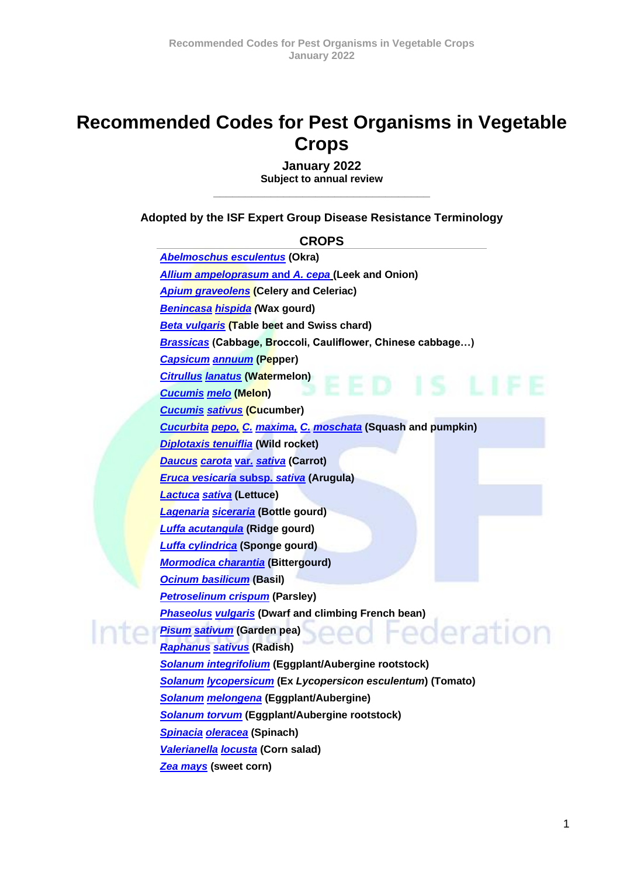# **Recommended Codes for Pest Organisms in Vegetable Crops**

**January 2022 Subject to annual review** \_\_\_\_\_\_\_\_\_\_\_\_\_\_\_\_\_\_\_\_\_\_\_\_\_\_\_\_\_\_\_\_\_\_

**Adopted by the ISF Expert Group Disease Resistance Terminology**

**CROPS**

*[Abelmoschus esculentus](#page-1-0)* **(Okra)** *[Allium ampeloprasum](#page-1-1)* **and** *A. cepa* **(Leek and Onion)** *[Apium graveolens](#page-2-0)* **(Celery and Celeriac)** *[Benincasa](#page-2-1) hispida (***Wax gourd)** *[Beta vulgaris](#page-2-2)* **(Table beet and Swiss chard)** *[Brassicas](#page-3-0)* **(Cabbage, Broccoli, Cauliflower, Chinese cabbage…)** *[Capsicum](#page-4-0) annuum* **(Pepper)** *[Citrullus](#page-4-1) lanatus* **(Watermelon)** *[Cucumis](#page-5-0) melo* **(Melon)** *[Cucumis](#page-5-1) sativus* **(Cucumber)** *[Cucurbita](#page-6-0) pepo, C. maxima, C. moschata* **(Squash and pumpkin)** *[Diplotaxis tenuiflia](#page-7-0)* **(Wild rocket)** *[Daucus](#page-6-1) carota* **var***. sativa* **(Carrot)** *[Eruca vesicaria](#page-7-1)* **subsp.** *sativa* **(Arugula)** *[Lactuca](#page-7-2) sativa* **(Lettuce)** *[Lagenaria](#page-8-0) siceraria* **(Bottle gourd)** *[Luffa acutangula](#page-8-1)* **(Ridge gourd)** *[Luffa cylindrica](#page-8-2)* **(Sponge gourd)** *[Mormodica charantia](#page-9-0)* **(Bittergourd)** *[Ocinum basilicum](#page-9-1)* **(Basil)** *[Petroselinum crispum](#page-9-2)* **(Parsley)** *[Phaseolus](#page-9-3) vulgaris* **(Dwarf and climbing French bean)** eration *Pisum [sativum](#page-10-0)* **(Garden pea)** *[Raphanus](#page-10-1) sativus* **(Radish)** *[Solanum integrifolium](#page-11-0)* **(Eggplant/Aubergine rootstock)** *Solanum [lycopersicum](#page-11-1)* **(Ex** *Lycopersicon esculentum***) (Tomato)** *Solanum [melongena](#page-12-0)* **(Eggplant/Aubergine)** *[Solanum torvum](#page-13-0)* **(Eggplant/Aubergine rootstock)** *[Spinacia](#page-13-1) oleracea* **(Spinach)** *[Valerianella](#page-13-2) locusta* **(Corn salad)** *[Zea mays](#page-14-0)* **(sweet corn)**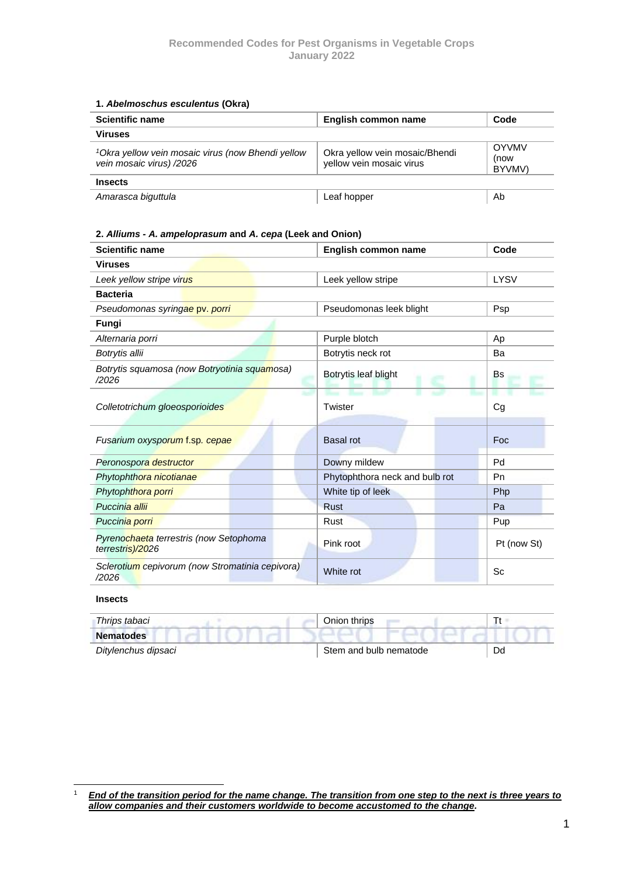#### <span id="page-1-0"></span>**1.** *Abelmoschus esculentus* **(Okra)**

| <b>Scientific name</b>                                                                    | English common name                                        | Code                           |  |
|-------------------------------------------------------------------------------------------|------------------------------------------------------------|--------------------------------|--|
| <b>Viruses</b>                                                                            |                                                            |                                |  |
| <sup>1</sup> Okra yellow vein mosaic virus (now Bhendi yellow<br>vein mosaic virus) /2026 | Okra yellow vein mosaic/Bhendi<br>yellow vein mosaic virus | <b>OYVMV</b><br>(now<br>BYVMV) |  |
| <b>Insects</b>                                                                            |                                                            |                                |  |
| Amarasca biguttula                                                                        | Leaf hopper                                                | Ab                             |  |

#### <span id="page-1-1"></span>**2.** *Alliums - A. ampeloprasum* **and** *A. cepa* **(Leek and Onion)**

| <b>Scientific name</b>                                     | English common name            | Code        |  |
|------------------------------------------------------------|--------------------------------|-------------|--|
| <b>Viruses</b>                                             |                                |             |  |
| Leek yellow stripe virus                                   | Leek yellow stripe             | <b>LYSV</b> |  |
| <b>Bacteria</b>                                            |                                |             |  |
| Pseudomonas syringae pv. porri                             | Pseudomonas leek blight        | Psp         |  |
| Fungi                                                      |                                |             |  |
| Alternaria porri                                           | Purple blotch                  | Ap          |  |
| Botrytis allii                                             | Botrytis neck rot              | Ba          |  |
| Botrytis squamosa (now Botryotinia squamosa)<br>/2026      | Botrytis leaf blight           | <b>Bs</b>   |  |
| Colletotrichum gloeosporioides                             | Twister                        | Cg          |  |
| Fusarium oxysporum f.sp. cepae                             | <b>Basal rot</b>               | Foc         |  |
| Peronospora destructor                                     | Downy mildew                   | Pd          |  |
| Phytophthora nicotianae                                    | Phytophthora neck and bulb rot | Pn          |  |
| Phytophthora porri                                         | White tip of leek              | Php         |  |
| Puccinia allii                                             | <b>Rust</b>                    | Pa          |  |
| Puccinia porri                                             | Rust                           | Pup         |  |
| Pyrenochaeta terrestris (now Setophoma<br>terrestris)/2026 | Pink root                      | Pt (now St) |  |
| Sclerotium cepivorum (now Stromatinia cepivora)<br>/2026   | White rot                      | Sc          |  |

#### **Insects**

| Thrips tabaci       | Onion thrips           |  |
|---------------------|------------------------|--|
| <b>Nematodes</b>    |                        |  |
| Ditylenchus dipsaci | Stem and bulb nematode |  |

<sup>1</sup> *End of the transition period for the name change. The transition from one step to the next is three years to allow companies and their customers worldwide to become accustomed to the change.*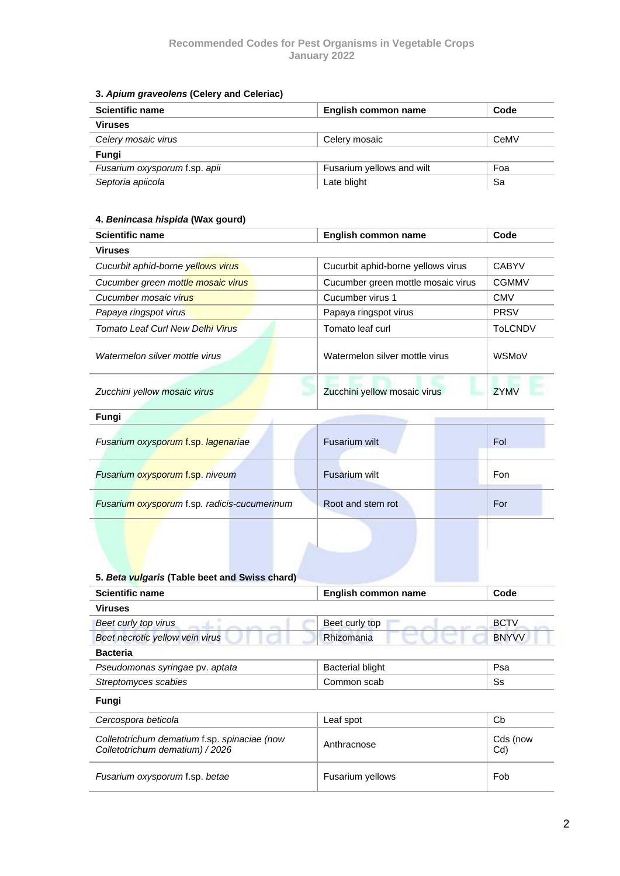#### <span id="page-2-0"></span>**3.** *Apium graveolens* **(Celery and Celeriac)**

| <b>Scientific name</b>        | English common name       | Code |
|-------------------------------|---------------------------|------|
| <b>Viruses</b>                |                           |      |
| Celery mosaic virus           | Celery mosaic             | CeMV |
| Fungi                         |                           |      |
| Fusarium oxysporum f.sp. apii | Fusarium yellows and wilt | Foa  |
| Septoria apiicola             | Late blight               | Sa   |

### <span id="page-2-1"></span>**4.** *Benincasa hispida* **(Wax gourd)**

| <b>Scientific name</b>             | English common name                | Code           |
|------------------------------------|------------------------------------|----------------|
| <b>Viruses</b>                     |                                    |                |
| Cucurbit aphid-borne yellows virus | Cucurbit aphid-borne yellows virus | <b>CABYV</b>   |
| Cucumber green mottle mosaic virus | Cucumber green mottle mosaic virus | <b>CGMMV</b>   |
| Cucumber mosaic virus              | Cucumber virus 1                   | <b>CMV</b>     |
| Papaya ringspot virus              | Papaya ringspot virus              | <b>PRSV</b>    |
| Tomato Leaf Curl New Delhi Virus   | Tomato leaf curl                   | <b>ToLCNDV</b> |
| Watermelon silver mottle virus     | Watermelon silver mottle virus     | <b>WSMoV</b>   |
| Zucchini yellow mosaic virus       | Zucchini yellow mosaic virus       | <b>ZYMV</b>    |

| Fungi                                        |                   |     |  |
|----------------------------------------------|-------------------|-----|--|
| Fusarium oxysporum f.sp. lagenariae          | Fusarium wilt     | Fol |  |
| Fusarium oxysporum f.sp. niveum              | Fusarium wilt     | Fon |  |
| Fusarium oxysporum f.sp. radicis-cucumerinum | Root and stem rot | For |  |
|                                              |                   |     |  |

<span id="page-2-2"></span>

| 5. Beta vulgaris (Table beet and Swiss chard)                                   |                         |                 |  |
|---------------------------------------------------------------------------------|-------------------------|-----------------|--|
| <b>Scientific name</b>                                                          | English common name     | Code            |  |
| <b>Viruses</b>                                                                  |                         |                 |  |
| Beet curly top virus                                                            | Beet curly top          | <b>BCTV</b>     |  |
| Beet necrotic yellow vein virus                                                 | Rhizomania              | <b>BNYVV</b>    |  |
| <b>Bacteria</b>                                                                 |                         |                 |  |
| Pseudomonas syringae pv. aptata                                                 | <b>Bacterial blight</b> | Psa             |  |
| Streptomyces scabies                                                            | Common scab             | Ss              |  |
| Fungi                                                                           |                         |                 |  |
| Cercospora beticola                                                             | Leaf spot               | Cb              |  |
| Colletotrichum dematium f.sp. spinaciae (now<br>Colletotrichum dematium) / 2026 | Anthracnose             | Cds (now<br>Cd) |  |
| Fusarium oxysporum f.sp. betae                                                  | <b>Fusarium yellows</b> | Fob             |  |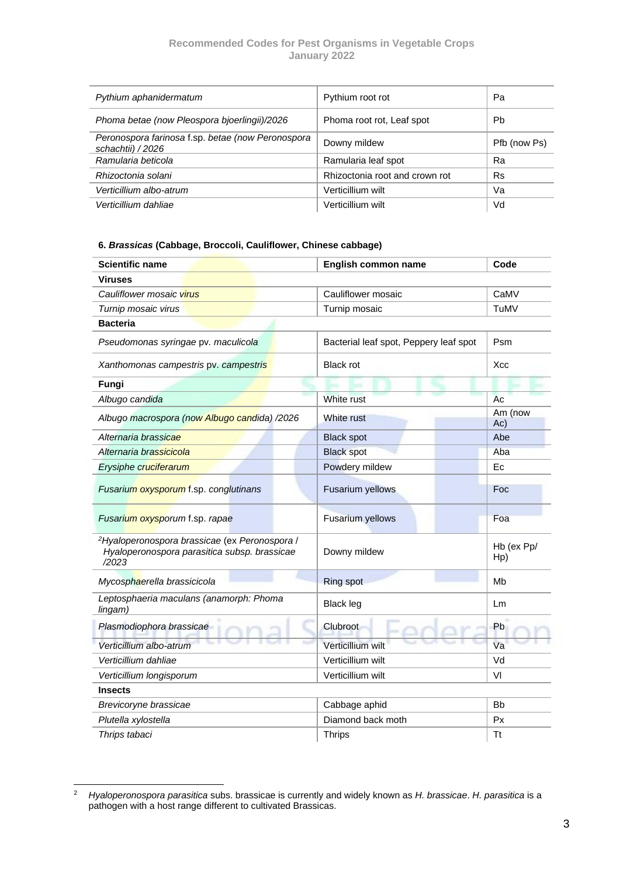| Pythium aphanidermatum                                                 | Pythium root rot               | Pa           |
|------------------------------------------------------------------------|--------------------------------|--------------|
| Phoma betae (now Pleospora bjoerlingii)/2026                           | Phoma root rot, Leaf spot      | Pb.          |
| Peronospora farinosa f.sp. betae (now Peronospora<br>schachtii) / 2026 | Downy mildew                   | Pfb (now Ps) |
| Ramularia beticola                                                     | Ramularia leaf spot            | Ra           |
| Rhizoctonia solani                                                     | Rhizoctonia root and crown rot | <b>Rs</b>    |
| Verticillium albo-atrum                                                | Verticillium wilt              | Va           |
| Verticillium dahliae                                                   | Verticillium wilt              | Vd           |

#### <span id="page-3-0"></span>**6.** *Brassicas* **(Cabbage, Broccoli, Cauliflower, Chinese cabbage)**

| <b>Scientific name</b>                                                                                             | English common name                    | Code              |
|--------------------------------------------------------------------------------------------------------------------|----------------------------------------|-------------------|
| <b>Viruses</b>                                                                                                     |                                        |                   |
| Cauliflower mosaic virus                                                                                           | Cauliflower mosaic                     | CaMV              |
| Turnip mosaic virus                                                                                                | Turnip mosaic                          | TuMV              |
| <b>Bacteria</b>                                                                                                    |                                        |                   |
| Pseudomonas syringae pv. maculicola                                                                                | Bacterial leaf spot, Peppery leaf spot | Psm               |
| Xanthomonas campestris pv. campestris                                                                              | <b>Black rot</b>                       | Xcc               |
| Fungi                                                                                                              |                                        |                   |
| Albugo candida                                                                                                     | White rust                             | Ac                |
| Albugo macrospora (now Albugo candida) /2026                                                                       | White rust                             | Am (now<br>Ac)    |
| Alternaria brassicae                                                                                               | <b>Black spot</b>                      | Abe               |
| Alternaria brassicicola                                                                                            | <b>Black spot</b>                      | Aba               |
| Erysiphe cruciferarum                                                                                              | Powdery mildew                         | Ec                |
| Fusarium oxysporum f.sp. conglutinans                                                                              | Fusarium yellows                       | Foc               |
| Fusarium oxysporum f.sp. rapae                                                                                     | Fusarium yellows                       | Foa               |
| <sup>2</sup> Hyaloperonospora brassicae (ex Peronospora /<br>Hyaloperonospora parasitica subsp. brassicae<br>/2023 | Downy mildew                           | Hb (ex Pp/<br>Hp) |
| Mycosphaerella brassicicola                                                                                        | <b>Ring spot</b>                       | Mb                |
| Leptosphaeria maculans (anamorph: Phoma<br>lingam)                                                                 | <b>Black leg</b>                       | Lm                |
| Plasmodiophora brassicae                                                                                           | <b>Clubroot</b>                        | Pb                |
| Verticillium albo-atrum                                                                                            | Verticillium wilt                      | Va                |
| Verticillium dahliae                                                                                               | Verticillium wilt                      | Vd                |
| Verticillium longisporum                                                                                           | Verticillium wilt                      | VI                |
| <b>Insects</b>                                                                                                     |                                        |                   |
| Brevicoryne brassicae                                                                                              | Cabbage aphid                          | <b>Bb</b>         |
| Plutella xylostella                                                                                                | Diamond back moth                      | Px                |
| Thrips tabaci                                                                                                      | <b>Thrips</b>                          | Tt                |

<sup>2</sup> *Hyaloperonospora parasitica* subs. brassicae is currently and widely known as *H. brassicae*. *H. parasitica* is a pathogen with a host range different to cultivated Brassicas.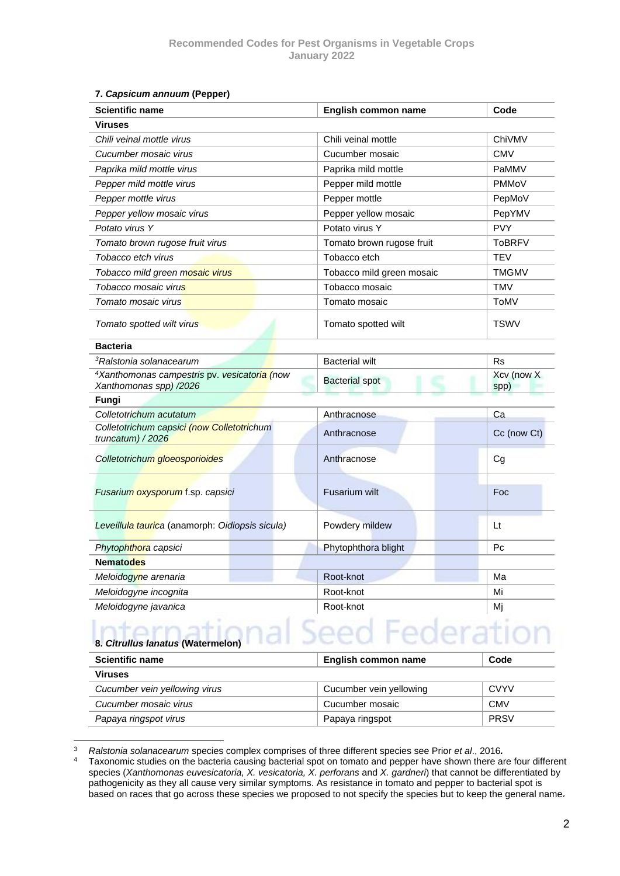#### <span id="page-4-0"></span>**7.** *Capsicum annuum* **(Pepper)**

| <b>Scientific name</b>                                                             | English common name       | Code               |  |
|------------------------------------------------------------------------------------|---------------------------|--------------------|--|
| <b>Viruses</b>                                                                     |                           |                    |  |
| Chili veinal mottle virus                                                          | Chili veinal mottle       | ChiVMV             |  |
| Cucumber mosaic virus                                                              | Cucumber mosaic           | <b>CMV</b>         |  |
| Paprika mild mottle virus                                                          | Paprika mild mottle       | PaMMV              |  |
| Pepper mild mottle virus                                                           | Pepper mild mottle        | <b>PMMoV</b>       |  |
| Pepper mottle virus                                                                | Pepper mottle             | PepMoV             |  |
| Pepper yellow mosaic virus                                                         | Pepper yellow mosaic      | PepYMV             |  |
| Potato virus Y                                                                     | Potato virus Y            | <b>PVY</b>         |  |
| Tomato brown rugose fruit virus                                                    | Tomato brown rugose fruit | <b>ToBRFV</b>      |  |
| Tobacco etch virus                                                                 | Tobacco etch              | <b>TEV</b>         |  |
| Tobacco mild green mosaic virus                                                    | Tobacco mild green mosaic | <b>TMGMV</b>       |  |
| Tobacco mosaic virus                                                               | Tobacco mosaic            | TMV                |  |
| Tomato mosaic virus                                                                | Tomato mosaic             | ToMV               |  |
| Tomato spotted wilt virus                                                          | Tomato spotted wilt       | <b>TSWV</b>        |  |
| <b>Bacteria</b>                                                                    |                           |                    |  |
| <sup>3</sup> Ralstonia solanacearum                                                | <b>Bacterial wilt</b>     | Rs                 |  |
| <sup>4</sup> Xanthomonas campestris pv. vesicatoria (now<br>Xanthomonas spp) /2026 | <b>Bacterial spot</b>     | Xcv (now X<br>spp) |  |
| Fungi                                                                              |                           |                    |  |
| Colletotrichum acutatum                                                            | Anthracnose               | Ca                 |  |
| Colletotrichum capsici (now Colletotrichum<br>truncatum) / 2026                    | Anthracnose               | Cc (now Ct)        |  |
| Colletotrichum gloeosporioides                                                     | Anthracnose               | Cg                 |  |
| Fusarium oxysporum f.sp. capsici                                                   | <b>Fusarium wilt</b>      | Foc                |  |
| Leveillula taurica (anamorph: Oidiopsis sicula)                                    | Powdery mildew            | Lt                 |  |
| Phytophthora capsici                                                               | Phytophthora blight       | Рc                 |  |
| <b>Nematodes</b>                                                                   |                           |                    |  |
| Meloidogyne arenaria                                                               | Root-knot                 | Ma                 |  |
| Meloidogyne incognita                                                              | Root-knot                 | Mi                 |  |
| Meloidogyne javanica                                                               | Root-knot                 | Мj                 |  |

## <span id="page-4-1"></span>Seed Federation **8.** *Citrullus lanatus* **(Watermelon)**

| <b>Scientific name</b>        | English common name     | Code        |
|-------------------------------|-------------------------|-------------|
| <b>Viruses</b>                |                         |             |
| Cucumber vein yellowing virus | Cucumber vein yellowing | CVYV        |
| Cucumber mosaic virus         | Cucumber mosaic         | <b>CMV</b>  |
| Papaya ringspot virus         | Papaya ringspot         | <b>PRSV</b> |

<sup>3</sup> *Ralstonia solanacearum* species complex comprises of three different species see Prior *et al*., 2016*.*

Taxonomic studies on the bacteria causing bacterial spot on tomato and pepper have shown there are four different species (*Xanthomonas euvesicatoria, X. vesicatoria, X. perforans* and *X. gardneri*) that cannot be differentiated by pathogenicity as they all cause very similar symptoms. As resistance in tomato and pepper to bacterial spot is based on races that go across these species we proposed to not specify the species but to keep the general name.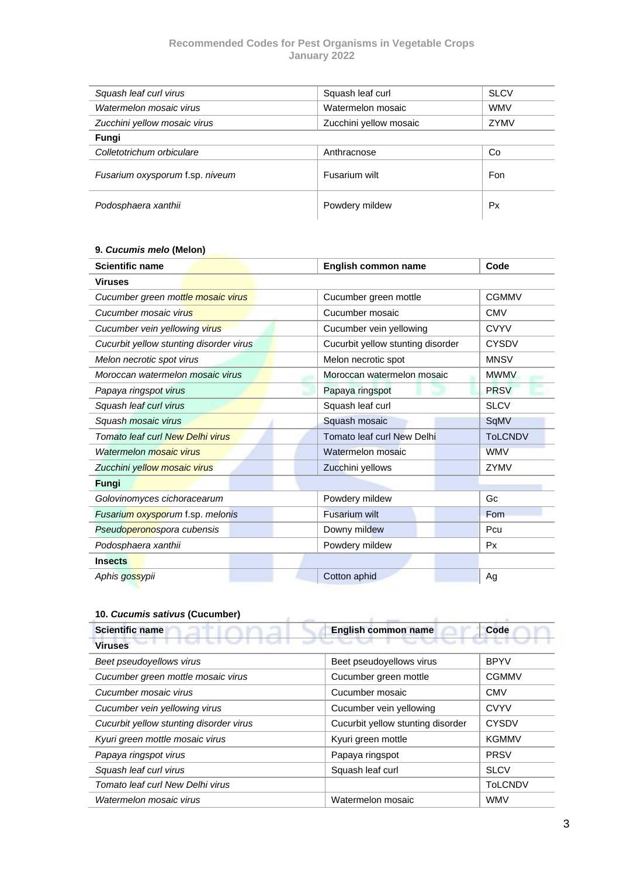| Squash leaf curl virus          | Squash leaf curl       | <b>SLCV</b> |
|---------------------------------|------------------------|-------------|
| Watermelon mosaic virus         | Watermelon mosaic      | <b>WMV</b>  |
| Zucchini yellow mosaic virus    | Zucchini yellow mosaic | ZYMV        |
| Fungi                           |                        |             |
| Colletotrichum orbiculare       | Anthracnose            | Co          |
| Fusarium oxysporum f.sp. niveum | Fusarium wilt          | Fon         |
| Podosphaera xanthii             | Powdery mildew         | Px          |

#### <span id="page-5-0"></span>**9.** *Cucumis melo* **(Melon)**

| <b>Scientific name</b>                  | English common name               | Code           |
|-----------------------------------------|-----------------------------------|----------------|
| <b>Viruses</b>                          |                                   |                |
| Cucumber green mottle mosaic virus      | Cucumber green mottle             | <b>CGMMV</b>   |
| Cucumber mosaic virus                   | Cucumber mosaic                   | <b>CMV</b>     |
| Cucumber vein yellowing virus           | Cucumber vein yellowing           | <b>CVYV</b>    |
| Cucurbit yellow stunting disorder virus | Cucurbit yellow stunting disorder | <b>CYSDV</b>   |
| Melon necrotic spot virus               | Melon necrotic spot               | <b>MNSV</b>    |
| Moroccan watermelon mosaic virus        | Moroccan watermelon mosaic        | <b>MWMV</b>    |
| Papaya ringspot virus                   | Papaya ringspot                   | <b>PRSV</b>    |
| Squash leaf curl virus                  | Squash leaf curl                  | <b>SLCV</b>    |
| Squash mosaic virus                     | Squash mosaic                     | SqMV           |
| Tomato leaf curl New Delhi virus        | <b>Tomato leaf curl New Delhi</b> | <b>ToLCNDV</b> |
| Watermelon mosaic virus                 | Watermelon mosaic                 | <b>WMV</b>     |
| Zucchini yellow mosaic virus            | Zucchini yellows                  | ZYMV           |
| Fungi                                   |                                   |                |
| Golovinomyces cichoracearum             | Powdery mildew                    | Gc             |
| Fusarium oxysporum f.sp. melonis        | <b>Fusarium wilt</b>              | Fom            |
| Pseudoperonospora cubensis              | Downy mildew                      | Pcu            |
| Podosphaera xanthii                     | Powdery mildew                    | <b>Px</b>      |
| <b>Insects</b>                          |                                   |                |
| Aphis gossypii                          | Cotton aphid                      | Ag             |

#### <span id="page-5-1"></span>**10.** *Cucumis sativus* **(Cucumber)**

| <b>Scientific name</b>                  | English common name               | Code           |  |  |
|-----------------------------------------|-----------------------------------|----------------|--|--|
| <b>Viruses</b>                          |                                   |                |  |  |
| Beet pseudoyellows virus                | Beet pseudoyellows virus          | <b>BPYV</b>    |  |  |
| Cucumber green mottle mosaic virus      | Cucumber green mottle             | <b>CGMMV</b>   |  |  |
| Cucumber mosaic virus                   | Cucumber mosaic                   | <b>CMV</b>     |  |  |
| Cucumber vein yellowing virus           | Cucumber vein yellowing           | <b>CVYV</b>    |  |  |
| Cucurbit yellow stunting disorder virus | Cucurbit yellow stunting disorder | <b>CYSDV</b>   |  |  |
| Kyuri green mottle mosaic virus         | Kyuri green mottle                | <b>KGMMV</b>   |  |  |
| Papaya ringspot virus                   | Papaya ringspot                   | <b>PRSV</b>    |  |  |
| Squash leaf curl virus                  | Squash leaf curl                  | <b>SLCV</b>    |  |  |
| Tomato leaf curl New Delhi virus        |                                   | <b>ToLCNDV</b> |  |  |
| Watermelon mosaic virus                 | Watermelon mosaic                 | <b>WMV</b>     |  |  |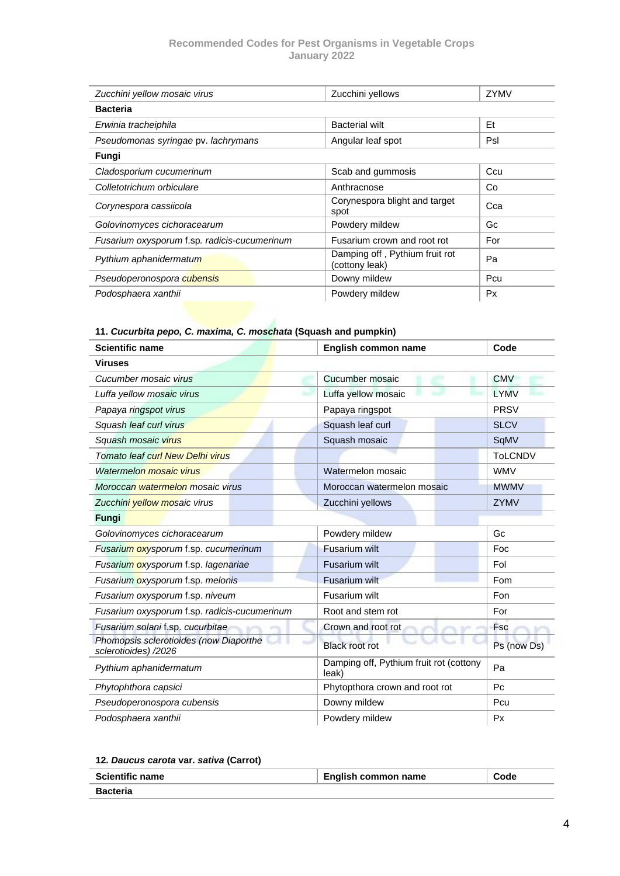| Zucchini yellow mosaic virus                 | Zucchini yellows                                 | ZYMV      |
|----------------------------------------------|--------------------------------------------------|-----------|
| <b>Bacteria</b>                              |                                                  |           |
| Erwinia tracheiphila                         | <b>Bacterial wilt</b>                            | Et        |
| Pseudomonas syringae pv. lachrymans          | Angular leaf spot                                | Psl       |
| Fungi                                        |                                                  |           |
| Cladosporium cucumerinum                     | Scab and gummosis                                | Ccu       |
| Colletotrichum orbiculare                    | Anthracnose                                      | Co        |
| Corynespora cassiicola                       | Corynespora blight and target<br>spot            | Cca       |
| Golovinomyces cichoracearum                  | Powdery mildew                                   | Gc        |
| Fusarium oxysporum f.sp. radicis-cucumerinum | Fusarium crown and root rot                      | For       |
| Pythium aphanidermatum                       | Damping off, Pythium fruit rot<br>(cottony leak) | Pa        |
| Pseudoperonospora cubensis                   | Downy mildew                                     | Pcu       |
| Podosphaera xanthii                          | Powdery mildew                                   | <b>Px</b> |

## <span id="page-6-0"></span>**11.** *Cucurbita pepo, C. maxima, C. moschata* **(Squash and pumpkin)**

| <b>Scientific name</b>                                         | <b>English common name</b>                       | Code           |
|----------------------------------------------------------------|--------------------------------------------------|----------------|
| <b>Viruses</b>                                                 |                                                  |                |
| Cucumber mosaic virus                                          | Cucumber mosaic                                  | <b>CMV</b>     |
| Luffa yellow mosaic virus                                      | Luffa yellow mosaic                              | <b>LYMV</b>    |
| Papaya ringspot virus                                          | Papaya ringspot                                  | <b>PRSV</b>    |
| Squash leaf curl virus                                         | Squash leaf curl                                 | <b>SLCV</b>    |
| Squash mosaic virus                                            | Squash mosaic                                    | SqMV           |
| Tomato leaf curl New Delhi virus                               |                                                  | <b>ToLCNDV</b> |
| Watermelon mosaic virus                                        | Watermelon mosaic                                | <b>WMV</b>     |
| Moroccan watermelon mosaic virus                               | Moroccan watermelon mosaic                       | <b>MWMV</b>    |
| Zucchini yellow mosaic virus                                   | Zucchini yellows                                 | ZYMV           |
| Fungi                                                          |                                                  |                |
| Golovinomyces cichoracearum                                    | Powdery mildew                                   | Gc             |
| Fusarium oxysporum f.sp. cucumerinum                           | <b>Fusarium wilt</b>                             | Foc            |
| Fusarium oxysporum f.sp. lagenariae                            | <b>Fusarium wilt</b>                             | Fol            |
| Fusarium oxysporum f.sp. melonis                               | Fusarium wilt                                    | Fom            |
| Fusarium oxysporum f.sp. niveum                                | Fusarium wilt                                    | Fon            |
| Fusarium oxysporum f.sp. radicis-cucumerinum                   | Root and stem rot                                | For            |
| Fusarium solani f.sp. cucurbitae                               | Crown and root rot                               | <b>Fsc</b>     |
| Phomopsis sclerotioides (now Diaporthe<br>sclerotioides) /2026 | <b>Black root rot</b>                            | Ps (now Ds)    |
| Pythium aphanidermatum                                         | Damping off, Pythium fruit rot (cottony<br>leak) | Pa             |
| Phytophthora capsici                                           | Phytopthora crown and root rot                   | P <sub>C</sub> |
| Pseudoperonospora cubensis                                     | Downy mildew                                     | Pcu            |
| Podosphaera xanthii                                            | Powdery mildew                                   | Px             |

<span id="page-6-1"></span>

|  | 12. Daucus carota var. sativa (Carrot) |  |  |  |  |
|--|----------------------------------------|--|--|--|--|
|--|----------------------------------------|--|--|--|--|

| <b>Scientific name</b> | English common name | Code |
|------------------------|---------------------|------|
| Bacteria               |                     |      |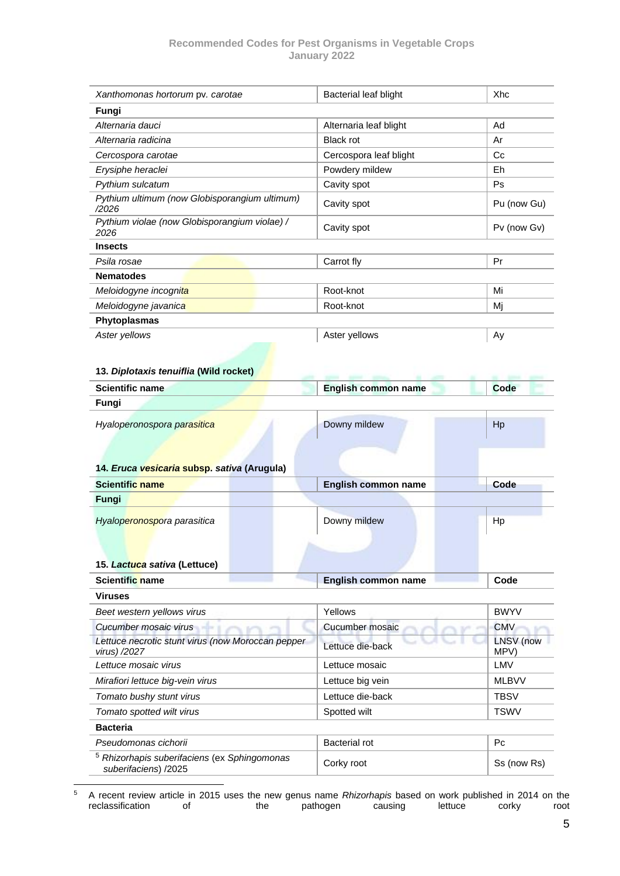<span id="page-7-0"></span>

| Xanthomonas hortorum pv. carotae                                                | Bacterial leaf blight      | Xhc          |
|---------------------------------------------------------------------------------|----------------------------|--------------|
| Fungi                                                                           |                            |              |
| Alternaria dauci                                                                | Alternaria leaf blight     | Ad           |
| Alternaria radicina                                                             | <b>Black rot</b>           | Ar           |
| Cercospora carotae                                                              | Cercospora leaf blight     | Сc           |
| Erysiphe heraclei                                                               | Powdery mildew             | Eh           |
| Pythium sulcatum                                                                | Cavity spot                | Ps           |
| Pythium ultimum (now Globisporangium ultimum)<br>/2026                          | Cavity spot                | Pu (now Gu)  |
| Pythium violae (now Globisporangium violae) /<br>2026                           | Cavity spot                | Pv (now Gv)  |
| <b>Insects</b>                                                                  |                            |              |
| Psila rosae                                                                     | Carrot fly                 | Pr           |
| <b>Nematodes</b>                                                                |                            |              |
| Meloidogyne incognita                                                           | Root-knot                  | Mi           |
| Meloidogyne javanica                                                            | Root-knot                  | Mi           |
| Phytoplasmas                                                                    |                            |              |
| Aster yellows                                                                   | Aster yellows              | Ay           |
|                                                                                 |                            |              |
| 13. Diplotaxis tenuiflia (Wild rocket)                                          |                            |              |
| <b>Scientific name</b>                                                          | <b>English common name</b> | Code         |
| Fungi                                                                           |                            |              |
| Hyaloperonospora parasitica                                                     | Downy mildew               | Hp           |
|                                                                                 |                            |              |
|                                                                                 |                            |              |
| 14. Eruca vesicaria subsp. sativa (Arugula)                                     |                            |              |
| <b>Scientific name</b>                                                          | English common name        | Code         |
| Fungi                                                                           |                            |              |
|                                                                                 |                            |              |
| Hyaloperonospora parasitica                                                     | Downy mildew               | Hp           |
|                                                                                 |                            |              |
|                                                                                 |                            |              |
| 15. Lactuca sativa (Lettuce)                                                    |                            | Code         |
| Scientific name                                                                 | <b>English common name</b> |              |
| <b>Viruses</b><br>Beet western yellows virus                                    | Yellows                    | <b>BWYV</b>  |
| Cucumber mosaic virus                                                           | Cucumber mosaic            | <b>CMV</b>   |
| Lettuce necrotic stunt virus (now Moroccan pepper                               |                            | LNSV (now    |
| virus) /2027                                                                    | Lettuce die-back           | MPV)         |
| Lettuce mosaic virus                                                            | Lettuce mosaic             | LMV          |
| Mirafiori lettuce big-vein virus                                                | Lettuce big vein           | <b>MLBVV</b> |
| Tomato bushy stunt virus                                                        | Lettuce die-back           | <b>TBSV</b>  |
| Tomato spotted wilt virus                                                       | Spotted wilt               | <b>TSWV</b>  |
| <b>Bacteria</b>                                                                 |                            |              |
| Pseudomonas cichorii                                                            | <b>Bacterial rot</b>       | Pc           |
| <sup>5</sup> Rhizorhapis suberifaciens (ex Sphingomonas<br>suberifaciens) /2025 | Corky root                 | Ss (now Rs)  |

<span id="page-7-2"></span><span id="page-7-1"></span><sup>5</sup> A recent review article in 2015 uses the new genus name *Rhizorhapis* based on work published in 2014 on the reclassification of the pathogen causing lettuce corky root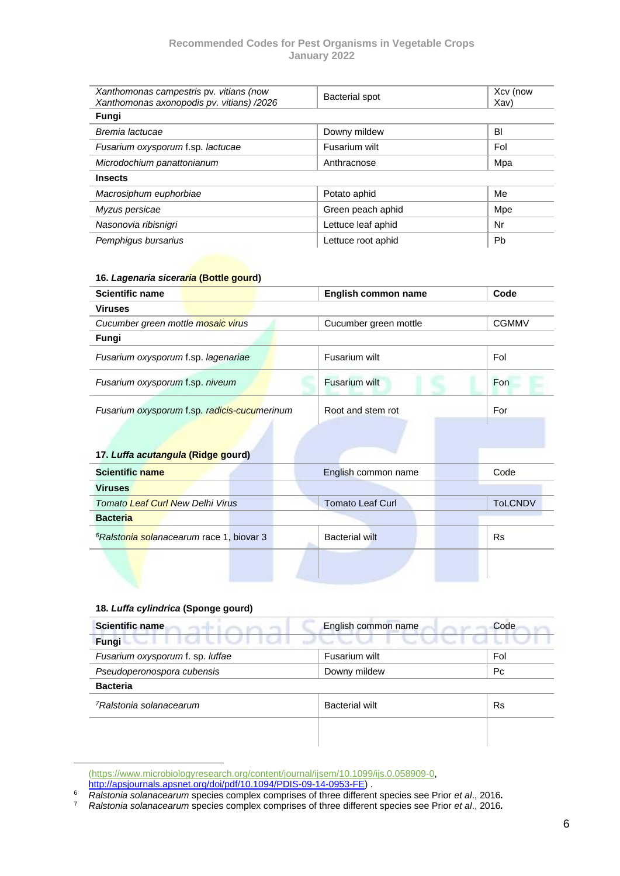| Xanthomonas campestris pv. vitians (now<br>Xanthomonas axonopodis pv. vitians) /2026 | <b>Bacterial spot</b> | Xcv (now<br>Xav) |
|--------------------------------------------------------------------------------------|-----------------------|------------------|
| Fungi                                                                                |                       |                  |
| Bremia lactucae                                                                      | Downy mildew          | BI               |
| Fusarium oxysporum f.sp. lactucae                                                    | Fusarium wilt         | Fol              |
| Microdochium panattonianum                                                           | Anthracnose           | Mpa              |
| <b>Insects</b>                                                                       |                       |                  |
| Macrosiphum euphorbiae                                                               | Potato aphid          | Me               |
| Myzus persicae                                                                       | Green peach aphid     | Mpe              |
| Nasonovia ribisnigri                                                                 | Lettuce leaf aphid    | Nr               |
| Pemphigus bursarius                                                                  | Lettuce root aphid    | <b>Pb</b>        |

#### <span id="page-8-0"></span>**16.** *Lagenaria siceraria* **(Bottle gourd)**

| <b>Scientific name</b>                       | English common name   | Code         |
|----------------------------------------------|-----------------------|--------------|
| <b>Viruses</b>                               |                       |              |
| Cucumber green mottle mosaic virus           | Cucumber green mottle | <b>CGMMV</b> |
| Fungi                                        |                       |              |
| Fusarium oxysporum f.sp. lagenariae          | Fusarium wilt         | Fol          |
| Fusarium oxysporum f.sp. niveum              | Fusarium wilt         | Fon          |
| Fusarium oxysporum f.sp. radicis-cucumerinum | Root and stem rot     | For          |

### <span id="page-8-1"></span>**17.** *Luffa acutangula* **(Ridge gourd)**

| <b>Scientific name</b>                               | English common name     | Code           |
|------------------------------------------------------|-------------------------|----------------|
| <b>Viruses</b>                                       |                         |                |
| <b>Tomato Leaf Curl New Delhi Virus</b>              | <b>Tomato Leaf Curl</b> | <b>TOLCNDV</b> |
| <b>Bacteria</b>                                      |                         |                |
| <sup>6</sup> Ralstonia solanacearum race 1, biovar 3 | <b>Bacterial wilt</b>   | <b>Rs</b>      |
|                                                      |                         |                |
|                                                      |                         |                |

#### <span id="page-8-2"></span>**18.** *Luffa cylindrica* **(Sponge gourd)**

| <b>Scientific name</b>              | English common name   | Code      |
|-------------------------------------|-----------------------|-----------|
| Fungi                               |                       |           |
| Fusarium oxysporum f. sp. luffae    | Fusarium wilt         | Fol       |
| Pseudoperonospora cubensis          | Downy mildew          | Pc.       |
| <b>Bacteria</b>                     |                       |           |
| <sup>7</sup> Ralstonia solanacearum | <b>Bacterial wilt</b> | <b>Rs</b> |
|                                     |                       |           |
|                                     |                       |           |

[<sup>\(</sup>https://www.microbiologyresearch.org/content/journal/ijsem/10.1099/ijs.0.058909-0,](https://www.microbiologyresearch.org/content/journal/ijsem/10.1099/ijs.0.058909-0)  [http://apsjournals.apsnet.org/doi/pdf/10.1094/PDIS-09-14-0953-FE\)](http://apsjournals.apsnet.org/doi/pdf/10.1094/PDIS-09-14-0953-FE).

<sup>6</sup> *Ralstonia solanacearum* species complex comprises of three different species see Prior *et al*., 2016*.*

<sup>7</sup> *Ralstonia solanacearum* species complex comprises of three different species see Prior *et al*., 2016*.*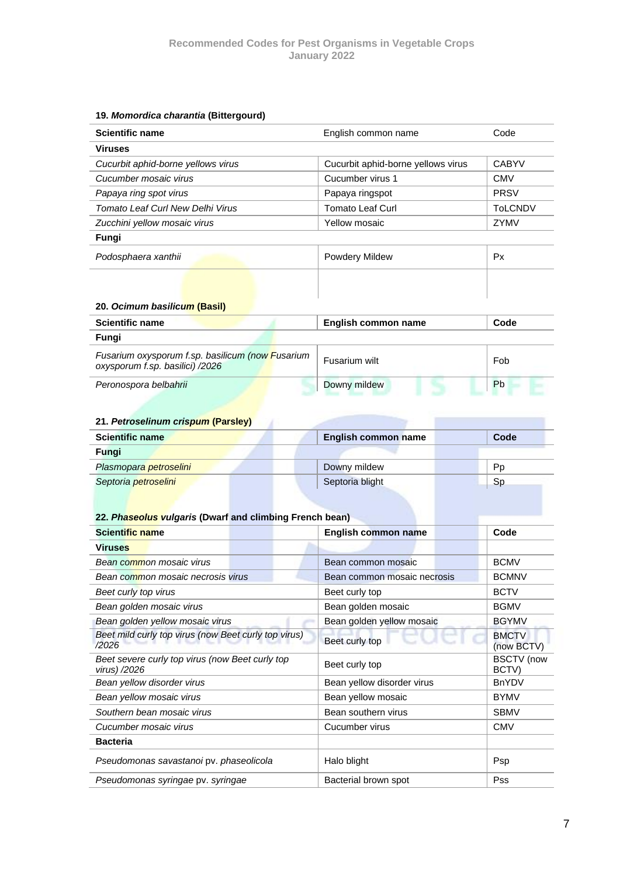#### <span id="page-9-0"></span>**19.** *Momordica charantia* **(Bittergourd)**

| <b>Scientific name</b>             | English common name                | Code           |
|------------------------------------|------------------------------------|----------------|
| <b>Viruses</b>                     |                                    |                |
| Cucurbit aphid-borne yellows virus | Cucurbit aphid-borne yellows virus | <b>CABYV</b>   |
| Cucumber mosaic virus              | Cucumber virus 1                   | <b>CMV</b>     |
| Papaya ring spot virus             | Papaya ringspot                    | <b>PRSV</b>    |
| Tomato Leaf Curl New Delhi Virus   | <b>Tomato Leaf Curl</b>            | <b>ToLCNDV</b> |
| Zucchini yellow mosaic virus       | Yellow mosaic                      | ZYMV           |
| Fungi                              |                                    |                |
| Podosphaera xanthii                | <b>Powdery Mildew</b>              | <b>Px</b>      |
|                                    |                                    |                |
|                                    |                                    |                |
| 20. Ocimum basilicum (Basil)       |                                    |                |

<span id="page-9-1"></span>

| <b>Scientific name</b>                                                              | English common name | Code |
|-------------------------------------------------------------------------------------|---------------------|------|
| Fungi                                                                               |                     |      |
| Fusarium oxysporum f.sp. basilicum (now Fusarium<br>oxysporum f.sp. basilici) /2026 | Fusarium wilt       | Fob  |
| Peronospora belbahrii                                                               | Downy mildew        | Pb   |

#### <span id="page-9-2"></span>**21.** *Petroselinum crispum* **(Parsley)**

| <b>Scientific name</b> | English common name | Code      |
|------------------------|---------------------|-----------|
| Fungi                  |                     |           |
| Plasmopara petroselini | Downy mildew        | Pp        |
| Septoria petroselini   | Septoria blight     | <b>Sp</b> |
|                        |                     |           |

ä

#### <span id="page-9-3"></span>**22.** *Phaseolus vulgaris* **(Dwarf and climbing French bean)**

| Scientific name                                                 | English common name         | Code                       |
|-----------------------------------------------------------------|-----------------------------|----------------------------|
| <b>Viruses</b>                                                  |                             |                            |
| Bean common mosaic virus                                        | Bean common mosaic          | <b>BCMV</b>                |
| Bean common mosaic necrosis virus                               | Bean common mosaic necrosis | <b>BCMNV</b>               |
| Beet curly top virus                                            | Beet curly top              | <b>BCTV</b>                |
| Bean golden mosaic virus                                        | Bean golden mosaic          | <b>BGMV</b>                |
| Bean golden yellow mosaic virus                                 | Bean golden yellow mosaic   | <b>BGYMV</b>               |
| Beet mild curly top virus (now Beet curly top virus)<br>/2026   | Beet curly top              | <b>BMCTV</b><br>(now BCTV) |
| Beet severe curly top virus (now Beet curly top<br>virus) /2026 | Beet curly top              | <b>BSCTV</b> (now<br>BCTV) |
| Bean yellow disorder virus                                      | Bean yellow disorder virus  | <b>BnYDV</b>               |
| Bean yellow mosaic virus                                        | Bean yellow mosaic          | <b>BYMV</b>                |
| Southern bean mosaic virus                                      | Bean southern virus         | <b>SBMV</b>                |
| Cucumber mosaic virus                                           | Cucumber virus              | <b>CMV</b>                 |
| <b>Bacteria</b>                                                 |                             |                            |
| Pseudomonas savastanoi pv. phaseolicola                         | Halo blight                 | <b>Psp</b>                 |
| Pseudomonas syringae pv. syringae                               | Bacterial brown spot        | <b>Pss</b>                 |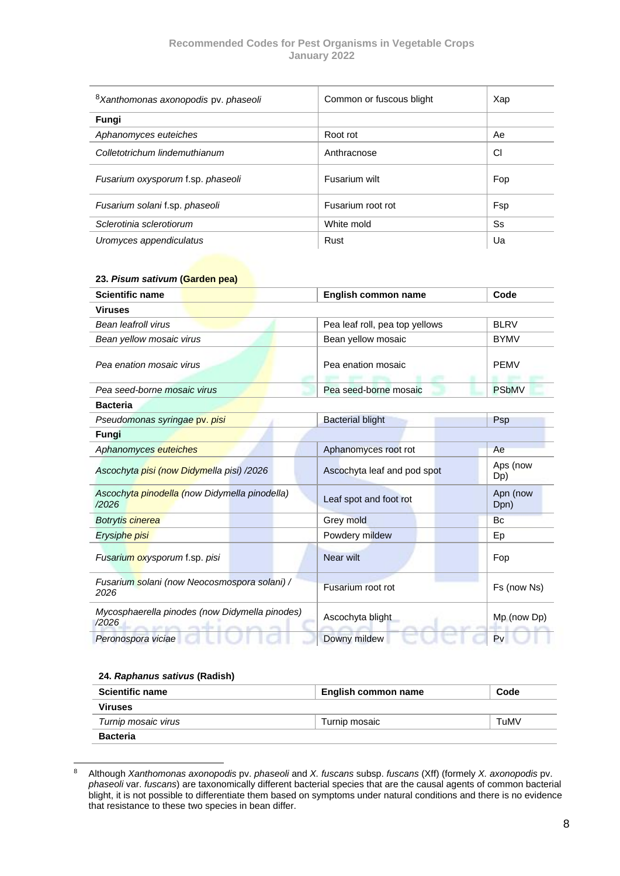| <sup>8</sup> Xanthomonas axonopodis pv. phaseoli | Common or fuscous blight | Xap |
|--------------------------------------------------|--------------------------|-----|
| Fungi                                            |                          |     |
| Aphanomyces euteiches                            | Root rot                 | Ae  |
| Colletotrichum lindemuthianum                    | Anthracnose              | CI  |
| Fusarium oxysporum f.sp. phaseoli                | Fusarium wilt            | Fop |
| Fusarium solani f.sp. phaseoli                   | Fusarium root rot        | Fsp |
| Sclerotinia sclerotiorum                         | White mold               | Ss  |
| Uromyces appendiculatus                          | Rust                     | Ua  |

#### <span id="page-10-0"></span>**23.** *Pisum sativum* **(Garden pea)**

| <b>Scientific name</b>                                                                              | <b>English common name</b>     | Code             |
|-----------------------------------------------------------------------------------------------------|--------------------------------|------------------|
| <b>Viruses</b>                                                                                      |                                |                  |
| <b>Bean leafroll virus</b>                                                                          | Pea leaf roll, pea top yellows | <b>BLRV</b>      |
| Bean yellow mosaic virus                                                                            | Bean yellow mosaic             | <b>BYMV</b>      |
| Pea enation mosaic virus                                                                            | Pea enation mosaic             | <b>PEMV</b>      |
| Pea seed-borne mosaic virus                                                                         | Pea seed-borne mosaic          | <b>PSbMV</b>     |
| <b>Bacteria</b>                                                                                     |                                |                  |
| Pseudomonas syringae pv. pisi                                                                       | <b>Bacterial blight</b>        | Psp              |
| Fungi                                                                                               |                                |                  |
| Aphanomyces euteiches                                                                               | Aphanomyces root rot           | Ae               |
| Ascochyta pisi (now Didymella pisi) /2026                                                           | Ascochyta leaf and pod spot    | Aps (now<br>Dp)  |
| Ascochyta pinodella (now Didymella pinodella)<br>/2026                                              | Leaf spot and foot rot         | Apn (now<br>Dpn) |
| Botrytis cinerea                                                                                    | Grey mold                      | Bc               |
| Erysiphe pisi                                                                                       | Powdery mildew                 | Ep               |
| Fusarium oxysporum f.sp. pisi                                                                       | <b>Near wilt</b>               | Fop              |
| Fusarium solani (now Neocosmospora solani) /<br>2026                                                | Fusarium root rot              | Fs (now Ns)      |
| Mycosphaerella pinodes (now Didymella pinodes)<br>/2026<br><b>SUPPLY BUFFELL</b><br>arms, reliev of | Ascochyta blight               | Mp (now Dp)      |
| Peronospora viciae                                                                                  | Downy mildew                   | Pv               |

#### <span id="page-10-1"></span>**24.** *Raphanus sativus* **(Radish)**

| <b>Scientific name</b> | English common name | Code |
|------------------------|---------------------|------|
| <b>Viruses</b>         |                     |      |
| Turnip mosaic virus    | Turnip mosaic       | TuMV |
| <b>Bacteria</b>        |                     |      |

<sup>8</sup> Although *Xanthomonas axonopodis* pv. *phaseoli* and *X. fuscans* subsp. *fuscans* (Xff) (formely *X. axonopodis* pv. *phaseoli* var. *fuscans*) are taxonomically different bacterial species that are the causal agents of common bacterial blight, it is not possible to differentiate them based on symptoms under natural conditions and there is no evidence that resistance to these two species in bean differ.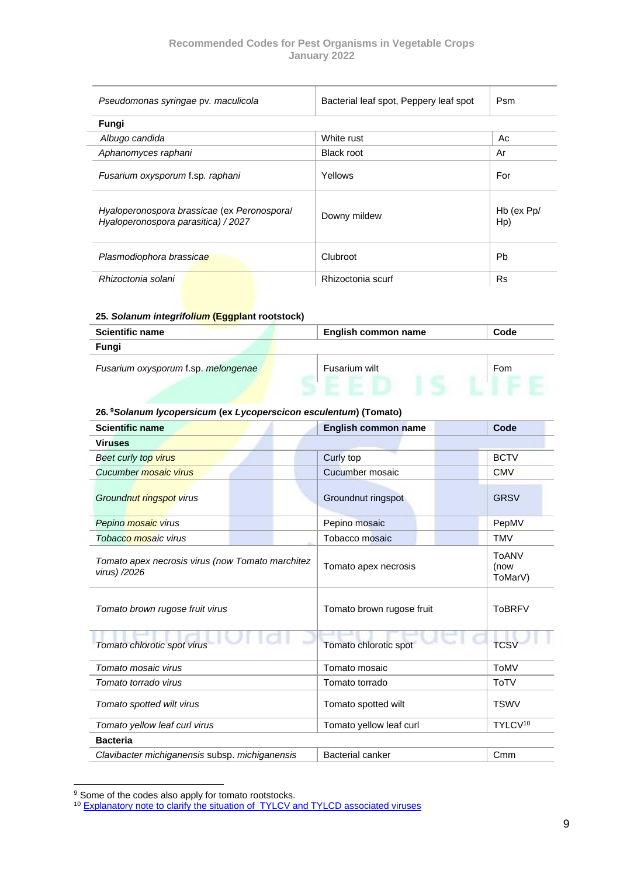| Pseudomonas syringae pv. maculicola                                                | Bacterial leaf spot, Peppery leaf spot | Psm                   |
|------------------------------------------------------------------------------------|----------------------------------------|-----------------------|
| Fungi                                                                              |                                        |                       |
| Albugo candida                                                                     | White rust                             | Ac                    |
| Aphanomyces raphani                                                                | <b>Black root</b>                      | Ar                    |
| Fusarium oxysporum f.sp. raphani                                                   | Yellows                                | For                   |
| Hyaloperonospora brassicae (ex Peronospora/<br>Hyaloperonospora parasitica) / 2027 | Downy mildew                           | $Hb$ (ex $Pp/$<br>Hp) |
| Plasmodiophora brassicae                                                           | Clubroot                               | <b>Pb</b>             |
| Rhizoctonia solani                                                                 | Rhizoctonia scurf                      | <b>Rs</b>             |

#### <span id="page-11-0"></span>**25.** *Solanum integrifolium* **(Eggplant rootstock)**

| <b>Scientific name</b>              | <b>English common name</b> | Code |
|-------------------------------------|----------------------------|------|
| Fungi                               |                            |      |
| Fusarium oxysporum f.sp. melongenae | Fusarium wilt              | Fom  |

#### <span id="page-11-1"></span>**26. <sup>9</sup>***Solanum lycopersicum* **(ex** *Lycoperscicon esculentum***) (Tomato)**

| <b>Scientific name</b>                                           | English common name       | Code                            |
|------------------------------------------------------------------|---------------------------|---------------------------------|
| <b>Viruses</b>                                                   |                           |                                 |
| Beet curly top virus                                             | Curly top                 | <b>BCTV</b>                     |
| Cucumber mosaic virus                                            | Cucumber mosaic           | <b>CMV</b>                      |
| Groundnut ringspot virus                                         | Groundnut ringspot        | <b>GRSV</b>                     |
| Pepino mosaic virus                                              | Pepino mosaic             | PepMV                           |
| Tobacco mosaic virus                                             | Tobacco mosaic            | <b>TMV</b>                      |
| Tomato apex necrosis virus (now Tomato marchitez<br>virus) /2026 | Tomato apex necrosis      | <b>ToANV</b><br>(now<br>ToMarV) |
| Tomato brown rugose fruit virus                                  | Tomato brown rugose fruit | <b>ToBRFV</b>                   |
| Tomato chlorotic spot virus                                      | Tomato chlorotic spot     | <b>TCSV</b>                     |
| Tomato mosaic virus                                              | Tomato mosaic             | <b>ToMV</b>                     |
| Tomato torrado virus                                             | Tomato torrado            | <b>ToTV</b>                     |
| Tomato spotted wilt virus                                        | Tomato spotted wilt       | <b>TSWV</b>                     |
| Tomato yellow leaf curl virus                                    | Tomato yellow leaf curl   | TYLCV <sup>10</sup>             |
| <b>Bacteria</b>                                                  |                           |                                 |
| Clavibacter michiganensis subsp. michiganensis                   | <b>Bacterial canker</b>   | C <sub>mm</sub>                 |

<sup>&</sup>lt;sup>9</sup> Some of the codes also apply for tomato rootstocks.

<sup>&</sup>lt;sup>10</sup> [Explanatory note to clarify the situation of TYLCV and TYLCD associated viruses](http://www.worldseed.org/wp-content/uploads/2019/07/Explanatory-notes_TYLCV_TYLCD.pdf)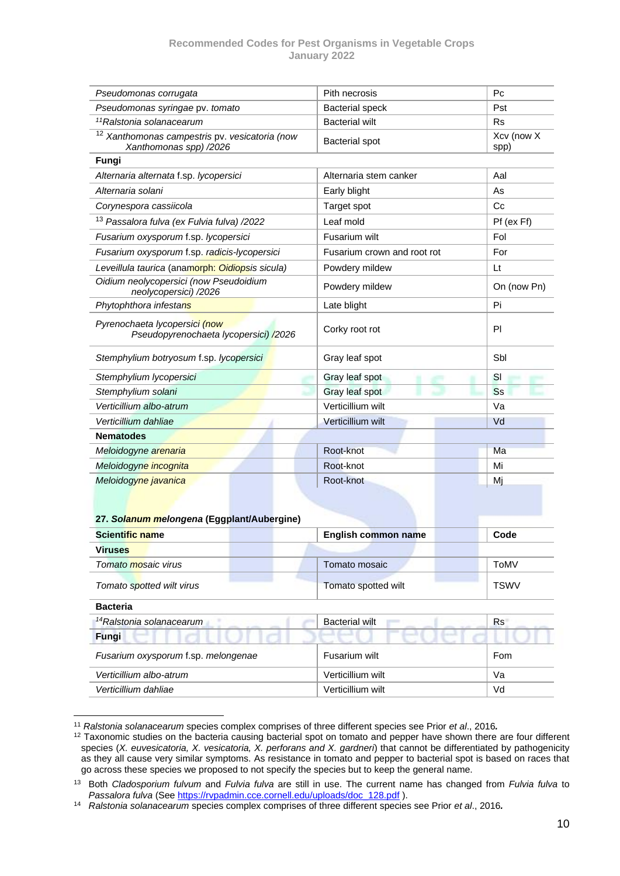| Pseudomonas corrugata                                                               | Pith necrosis               | P <sub>C</sub>     |
|-------------------------------------------------------------------------------------|-----------------------------|--------------------|
| Pseudomonas syringae pv. tomato                                                     | <b>Bacterial speck</b>      | Pst                |
| <sup>11</sup> Ralstonia solanacearum                                                | <b>Bacterial wilt</b>       | Rs                 |
| <sup>12</sup> Xanthomonas campestris pv. vesicatoria (now<br>Xanthomonas spp) /2026 | <b>Bacterial spot</b>       | Xcv (now X<br>spp) |
| Fungi                                                                               |                             |                    |
| Alternaria alternata f.sp. lycopersici                                              | Alternaria stem canker      | Aal                |
| Alternaria solani                                                                   | Early blight                | As                 |
| Corynespora cassiicola                                                              | Target spot                 | C <sub>c</sub>     |
| <sup>13</sup> Passalora fulva (ex Fulvia fulva) /2022                               | Leaf mold                   | Pf (ex Ff)         |
| Fusarium oxysporum f.sp. lycopersici                                                | Fusarium wilt               | Fol                |
| Fusarium oxysporum f.sp. radicis-lycopersici                                        | Fusarium crown and root rot | For                |
| Leveillula taurica (anamorph: Oidiopsis sicula)                                     | Powdery mildew              | Lt                 |
| Oidium neolycopersici (now Pseudoidium<br>neolycopersici) /2026                     | Powdery mildew              | On (now Pn)        |
| Phytophthora infestans                                                              | Late blight                 | Pi                 |
| Pyrenochaeta lycopersici (now<br>Pseudopyrenochaeta lycopersici) /2026              | Corky root rot              | PI                 |
| Stemphylium botryosum f.sp. lycopersici                                             | Gray leaf spot              | Sbl                |
| Stemphylium lycopersici                                                             | Gray leaf spot              | SI                 |
| Stemphylium solani                                                                  | Gray leaf spot              | <b>Ss</b>          |
| Verticillium albo-atrum                                                             | Verticillium wilt           | Va                 |
| Verticillium dahliae                                                                | Verticillium wilt           | Vd                 |
| <b>Nematodes</b>                                                                    |                             |                    |
| Meloidogyne arenaria                                                                | Root-knot                   | Ma                 |
| Meloidogyne incognita                                                               | Root-knot                   | Mi                 |
| Meloidogyne javanica                                                                | Root-knot                   | Mj                 |

#### <span id="page-12-0"></span>**27.** *Solanum melongena* **(Eggplant/Aubergine)**

| Scientific name                      | <b>English common name</b> | Code        |
|--------------------------------------|----------------------------|-------------|
| <b>Viruses</b>                       |                            |             |
| Tomato mosaic virus                  | Tomato mosaic              | ToMV        |
| Tomato spotted wilt virus            | Tomato spotted wilt        | <b>TSWV</b> |
| <b>Bacteria</b>                      |                            |             |
| <sup>14</sup> Ralstonia solanacearum | <b>Bacterial wilt</b>      | Rs          |
| Fungi                                |                            |             |
| Fusarium oxysporum f.sp. melongenae  | Fusarium wilt              | Fom         |
| Verticillium albo-atrum              | Verticillium wilt          | Va          |
| Verticillium dahliae                 | Verticillium wilt          | Vd          |

<sup>11</sup> *Ralstonia solanacearum* species complex comprises of three different species see Prior *et al*., 2016*.*

<sup>&</sup>lt;sup>12</sup> Taxonomic studies on the bacteria causing bacterial spot on tomato and pepper have shown there are four different species (*X. euvesicatoria, X. vesicatoria, X. perforans and X. gardneri*) that cannot be differentiated by pathogenicity as they all cause very similar symptoms. As resistance in tomato and pepper to bacterial spot is based on races that go across these species we proposed to not specify the species but to keep the general name.

<sup>13</sup> Both *Cladosporium fulvum* and *Fulvia fulva* are still in use. The current name has changed from *Fulvia fulva* to *Passalora fulva* (Se[e https://rvpadmin.cce.cornell.edu/uploads/doc\\_128.pdf](https://rvpadmin.cce.cornell.edu/uploads/doc_128.pdf) ).

<sup>14</sup> *Ralstonia solanacearum* species complex comprises of three different species see Prior *et al*., 2016*.*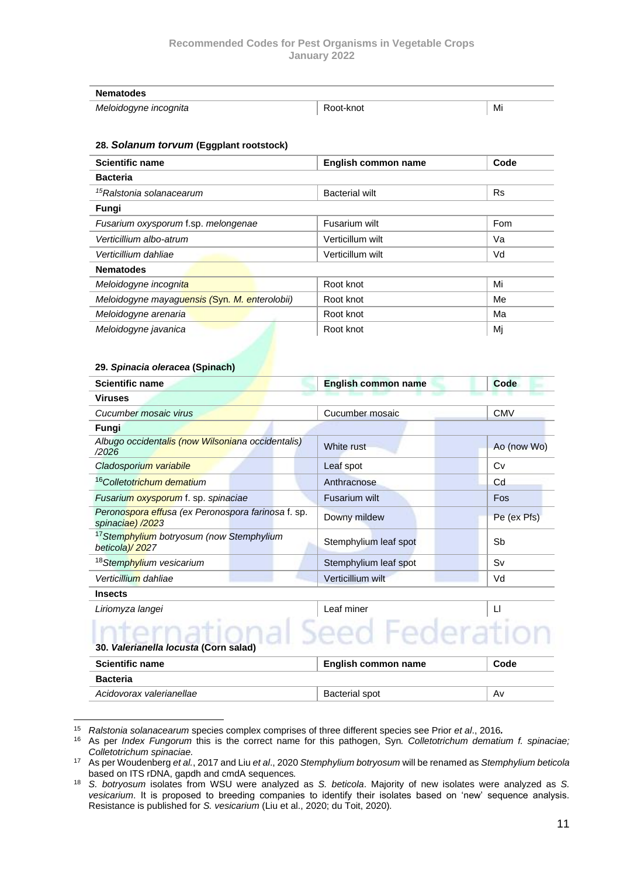| <b>Nematodes</b>      |           |    |
|-----------------------|-----------|----|
| Meloidogyne incognita | Root-knot | Mi |

#### <span id="page-13-0"></span>**28.** *Solanum torvum* **(Eggplant rootstock)**

| <b>Scientific name</b>                        | English common name   | Code      |
|-----------------------------------------------|-----------------------|-----------|
| <b>Bacteria</b>                               |                       |           |
| <sup>15</sup> Ralstonia solanacearum          | <b>Bacterial wilt</b> | <b>Rs</b> |
| Fungi                                         |                       |           |
| Fusarium oxysporum f.sp. melongenae           | Fusarium wilt         | Fom       |
| Verticillium albo-atrum                       | Verticillum wilt      | Va        |
| Verticillium dahliae                          | Verticillum wilt      | Vd        |
| <b>Nematodes</b>                              |                       |           |
| Meloidogyne incognita                         | Root knot             | Mi        |
| Meloidogyne mayaguensis (Syn. M. enterolobii) | Root knot             | Me        |
| Meloidogyne arenaria                          | Root knot             | Ма        |
| Meloidogyne javanica                          | Root knot             | Mj        |

#### <span id="page-13-1"></span>**29.** *Spinacia oleracea* **(Spinach)**

| <b>Scientific name</b>                                                 | <b>English common name</b> | Code         |
|------------------------------------------------------------------------|----------------------------|--------------|
| <b>Viruses</b>                                                         |                            |              |
| Cucumber mosaic virus                                                  | Cucumber mosaic            | <b>CMV</b>   |
| Fungi                                                                  |                            |              |
| Albugo occidentalis (now Wilsoniana occidentalis)<br>/2026             | White rust                 | Ao (now Wo)  |
| Cladosporium variabile                                                 | Leaf spot                  | Cv           |
| <sup>16</sup> Colletotrichum dematium                                  | Anthracnose                | Cd           |
| Fusarium oxysporum f. sp. spinaciae                                    | Fusarium wilt              | <b>Fos</b>   |
| Peronospora effusa (ex Peronospora farinosa f. sp.<br>spinaciae) /2023 | Downy mildew               | Pe (ex Pfs)  |
| <sup>17</sup> Stemphylium botryosum (now Stemphylium<br>beticola)/2027 | Stemphylium leaf spot      | Sb           |
| <sup>18</sup> Stemphylium vesicarium                                   | Stemphylium leaf spot      | Sv           |
| Verticillium dahliae                                                   | Verticillium wilt          | Vd           |
| <b>Insects</b>                                                         |                            |              |
| Liriamuza Iangei                                                       | agf miner                  | $\mathbf{L}$ |

# *Liriomyza langei*<br>
30. *Valerianella locusta* (Corn salar)<br>
20. *Valerianella locusta* (Corn salar) **30.** *Valerianella locusta* **(Corn salad)**

<span id="page-13-2"></span>

| <b>Scientific name</b>   | English common name | Code |
|--------------------------|---------------------|------|
| Bacteria                 |                     |      |
| Acidovorax valerianellae | Bacterial spot      | A٧   |

<sup>15</sup> *Ralstonia solanacearum* species complex comprises of three different species see Prior *et al*., 2016*.*

<sup>16</sup> As per *Index Fungorum* this is the correct name for this pathogen, Syn*. [Colletotrichum](http://www.speciesfungorum.org/Names/Names.asp?strGenus=Colletotrichum) dematium f. spinaciae; [Colletotrichum](http://www.speciesfungorum.org/Names/Names.asp?strGenus=Colletotrichum) spinaciae.* 

<sup>17</sup> As per Woudenberg *et al.*, 2017 and Liu *et al*., 2020 *Stemphylium botryosum* will be renamed as *Stemphylium beticola* based on ITS rDNA, gapdh and cmdA sequences*.* 

<sup>18</sup> *S. botryosum* isolates from WSU were analyzed as *S. beticola*. Majority of new isolates were analyzed as *S. vesicarium*. It is proposed to breeding companies to identify their isolates based on 'new' sequence analysis. Resistance is published for *S. vesicarium* (Liu et al., 2020; du Toit, 2020)*.*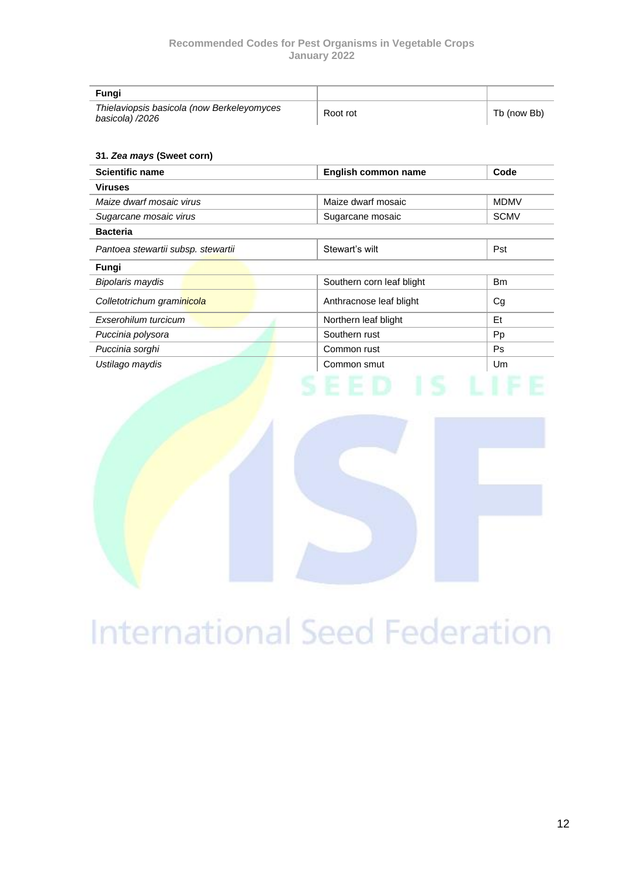| Fungi                                                         |          |             |
|---------------------------------------------------------------|----------|-------------|
| Thielaviopsis basicola (now Berkeleyomyces<br>basicola) /2026 | Root rot | Tb (now Bb) |

#### <span id="page-14-0"></span>**31.** *Zea mays* **(Sweet corn)**

| <b>Scientific name</b>             | English common name       | Code        |
|------------------------------------|---------------------------|-------------|
| <b>Viruses</b>                     |                           |             |
| Maize dwarf mosaic virus           | Maize dwarf mosaic        | <b>MDMV</b> |
| Sugarcane mosaic virus             | Sugarcane mosaic          | <b>SCMV</b> |
| <b>Bacteria</b>                    |                           |             |
| Pantoea stewartii subsp. stewartii | Stewart's wilt            | Pst         |
| Fungi                              |                           |             |
| <b>Bipolaris maydis</b>            | Southern corn leaf blight | <b>Bm</b>   |
| Colletotrichum graminicola         | Anthracnose leaf blight   | Cg          |
| Exserohilum turcicum               | Northern leaf blight      | Et          |
| Puccinia polysora                  | Southern rust             | Pp          |
| Puccinia sorghi                    | Common rust               | <b>Ps</b>   |
| Ustilago maydis                    | Common smut               | Um          |



# International Seed Federation